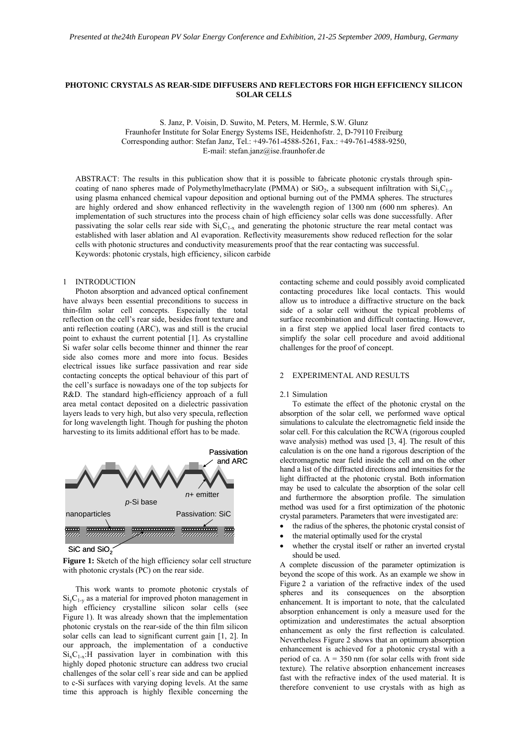# **PHOTONIC CRYSTALS AS REAR-SIDE DIFFUSERS AND REFLECTORS FOR HIGH EFFICIENCY SILICON SOLAR CELLS**

S. Janz, P. Voisin, D. Suwito, M. Peters, M. Hermle, S.W. Glunz Fraunhofer Institute for Solar Energy Systems ISE, Heidenhofstr. 2, D-79110 Freiburg Corresponding author: Stefan Janz, Tel.: +49-761-4588-5261, Fax.: +49-761-4588-9250, E-mail: stefan.janz@ise.fraunhofer.de

ABSTRACT: The results in this publication show that it is possible to fabricate photonic crystals through spincoating of nano spheres made of Polymethylmethacrylate (PMMA) or SiO<sub>2</sub>, a subsequent infiltration with Si<sub>V</sub>C<sub>1-y</sub> using plasma enhanced chemical vapour deposition and optional burning out of the PMMA spheres. The structures are highly ordered and show enhanced reflectivity in the wavelength region of 1300 nm (600 nm spheres). An implementation of such structures into the process chain of high efficiency solar cells was done successfully. After passivating the solar cells rear side with  $Si<sub>x</sub>C<sub>1-x</sub>$  and generating the photonic structure the rear metal contact was established with laser ablation and Al evaporation. Reflectivity measurements show reduced reflection for the solar cells with photonic structures and conductivity measurements proof that the rear contacting was successful. Keywords: photonic crystals, high efficiency, silicon carbide

### 1 INTRODUCTION

Photon absorption and advanced optical confinement have always been essential preconditions to success in thin-film solar cell concepts. Especially the total reflection on the cell's rear side, besides front texture and anti reflection coating (ARC), was and still is the crucial point to exhaust the current potential [1]. As crystalline Si wafer solar cells become thinner and thinner the rear side also comes more and more into focus. Besides electrical issues like surface passivation and rear side contacting concepts the optical behaviour of this part of the cell's surface is nowadays one of the top subjects for R&D. The standard high-efficiency approach of a full area metal contact deposited on a dielectric passivation layers leads to very high, but also very specula, reflection for long wavelength light. Though for pushing the photon harvesting to its limits additional effort has to be made.



SiC and SiO<sub>2</sub>

Figure 1: Sketch of the high efficiency solar cell structure with photonic crystals (PC) on the rear side.

This work wants to promote photonic crystals of  $Si_vC_{1-v}$  as a material for improved photon management in high efficiency crystalline silicon solar cells (see Figure 1). It was already shown that the implementation photonic crystals on the rear-side of the thin film silicon solar cells can lead to significant current gain [1, 2]. In our approach, the implementation of a conductive  $Si_xC_{1-x}$ : H passivation layer in combination with this highly doped photonic structure can address two crucial challenges of the solar cell`s rear side and can be applied to c-Si surfaces with varying doping levels. At the same time this approach is highly flexible concerning the

contacting scheme and could possibly avoid complicated contacting procedures like local contacts. This would allow us to introduce a diffractive structure on the back side of a solar cell without the typical problems of surface recombination and difficult contacting. However, in a first step we applied local laser fired contacts to simplify the solar cell procedure and avoid additional challenges for the proof of concept.

### 2 EXPERIMENTAL AND RESULTS

#### 2.1 Simulation

To estimate the effect of the photonic crystal on the absorption of the solar cell, we performed wave optical simulations to calculate the electromagnetic field inside the solar cell. For this calculation the RCWA (rigorous coupled wave analysis) method was used [3, 4]. The result of this calculation is on the one hand a rigorous description of the electromagnetic near field inside the cell and on the other hand a list of the diffracted directions and intensities for the light diffracted at the photonic crystal. Both information may be used to calculate the absorption of the solar cell and furthermore the absorption profile. The simulation method was used for a first optimization of the photonic crystal parameters. Parameters that were investigated are:

- the radius of the spheres, the photonic crystal consist of
- the material optimally used for the crystal
- whether the crystal itself or rather an inverted crystal should be used.

A complete discussion of the parameter optimization is beyond the scope of this work. As an example we show in Figure 2 a variation of the refractive index of the used spheres and its consequences on the absorption enhancement. It is important to note, that the calculated absorption enhancement is only a measure used for the optimization and underestimates the actual absorption enhancement as only the first reflection is calculated. Nevertheless Figure 2 shows that an optimum absorption enhancement is achieved for a photonic crystal with a period of ca.  $\Lambda$  = 350 nm (for solar cells with front side texture). The relative absorption enhancement increases fast with the refractive index of the used material. It is therefore convenient to use crystals with as high as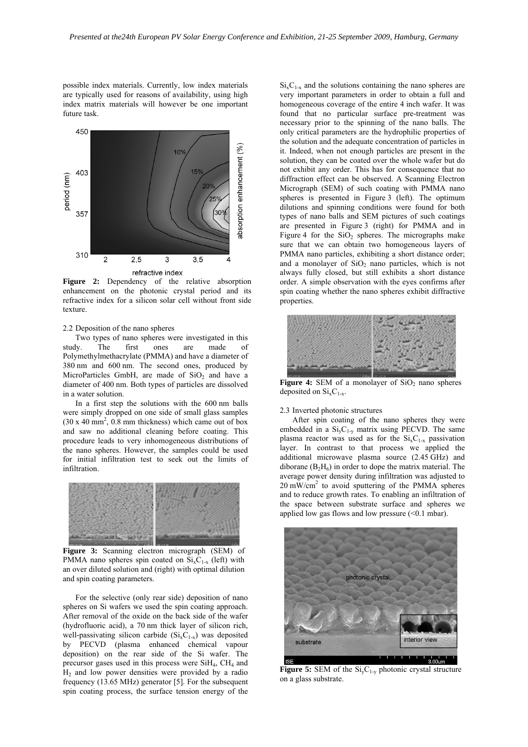possible index materials. Currently, low index materials are typically used for reasons of availability, using high index matrix materials will however be one important future task.



**Figure 2:** Dependency of the relative absorption enhancement on the photonic crystal period and its refractive index for a silicon solar cell without front side texture.

### 2.2 Deposition of the nano spheres

Two types of nano spheres were investigated in this study. The first ones are made of Polymethylmethacrylate (PMMA) and have a diameter of 380 nm and 600 nm. The second ones, produced by MicroParticles GmbH, are made of  $SiO<sub>2</sub>$  and have a diameter of 400 nm. Both types of particles are dissolved in a water solution.

In a first step the solutions with the 600 nm balls were simply dropped on one side of small glass samples  $(30 \times 40 \text{ mm}^2, 0.8 \text{ mm}$  thickness) which came out of box and saw no additional cleaning before coating. This procedure leads to very inhomogeneous distributions of the nano spheres. However, the samples could be used for initial infiltration test to seek out the limits of infiltration.



**Figure 3:** Scanning electron micrograph (SEM) of PMMA nano spheres spin coated on  $Si_xC_{1-x}$  (left) with an over diluted solution and (right) with optimal dilution and spin coating parameters.

For the selective (only rear side) deposition of nano spheres on Si wafers we used the spin coating approach. After removal of the oxide on the back side of the wafer (hydrofluoric acid), a 70 nm thick layer of silicon rich, well-passivating silicon carbide  $(Si_xC_{1-x})$  was deposited by PECVD (plasma enhanced chemical vapour deposition) on the rear side of the Si wafer. The precursor gases used in this process were SiH<sub>4</sub>, CH<sub>4</sub> and  $H<sub>2</sub>$  and low power densities were provided by a radio frequency (13.65 MHz) generator [5]. For the subsequent spin coating process, the surface tension energy of the

 $Si<sub>x</sub>C<sub>1-x</sub>$  and the solutions containing the nano spheres are very important parameters in order to obtain a full and homogeneous coverage of the entire 4 inch wafer. It was found that no particular surface pre-treatment was necessary prior to the spinning of the nano balls. The only critical parameters are the hydrophilic properties of the solution and the adequate concentration of particles in it. Indeed, when not enough particles are present in the solution, they can be coated over the whole wafer but do not exhibit any order. This has for consequence that no diffraction effect can be observed. A Scanning Electron Micrograph (SEM) of such coating with PMMA nano spheres is presented in Figure 3 (left). The optimum dilutions and spinning conditions were found for both types of nano balls and SEM pictures of such coatings are presented in Figure 3 (right) for PMMA and in Figure 4 for the  $SiO<sub>2</sub>$  spheres. The micrographs make sure that we can obtain two homogeneous layers of PMMA nano particles, exhibiting a short distance order; and a monolayer of  $SiO<sub>2</sub>$  nano particles, which is not always fully closed, but still exhibits a short distance order. A simple observation with the eyes confirms after spin coating whether the nano spheres exhibit diffractive properties.



**Figure 4:** SEM of a monolayer of  $SiO<sub>2</sub>$  nano spheres deposited on  $Si<sub>x</sub>C<sub>1-x</sub>$ .

#### 2.3 Inverted photonic structures

After spin coating of the nano spheres they were embedded in a  $Si<sub>v</sub>C<sub>1-v</sub>$  matrix using PECVD. The same plasma reactor was used as for the  $Si<sub>x</sub>C<sub>1-x</sub>$  passivation layer. In contrast to that process we applied the additional microwave plasma source (2.45 GHz) and diborane  $(B_2H_6)$  in order to dope the matrix material. The average power density during infiltration was adjusted to 20 mW/cm2 to avoid sputtering of the PMMA spheres and to reduce growth rates. To enabling an infiltration of the space between substrate surface and spheres we applied low gas flows and low pressure  $( $0.1 \text{ mbar}$ ).$ 



**Figure 5:** SEM of the  $Si_vC_{1-v}$  photonic crystal structure on a glass substrate.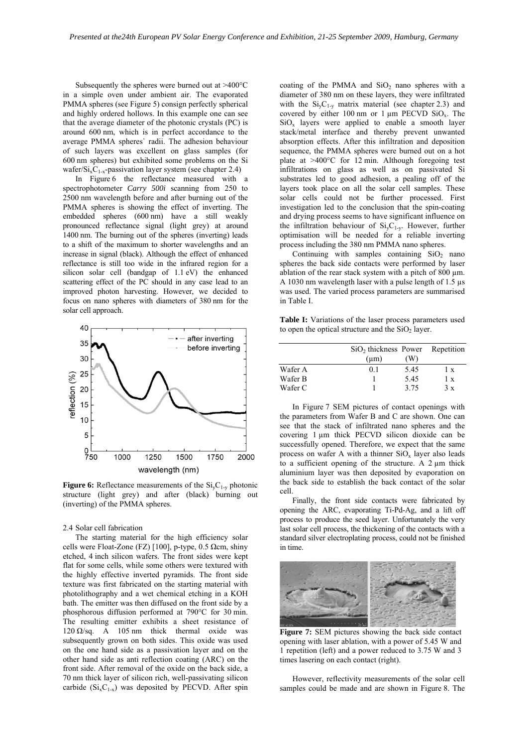Subsequently the spheres were burned out at >400°C in a simple oven under ambient air. The evaporated PMMA spheres (see Figure 5) consign perfectly spherical and highly ordered hollows. In this example one can see that the average diameter of the photonic crystals (PC) is around 600 nm, which is in perfect accordance to the average PMMA spheres` radii. The adhesion behaviour of such layers was excellent on glass samples (for 600 nm spheres) but exhibited some problems on the Si wafer/ $Si_xC_{1-x}$ -passivation layer system (see chapter 2.4)

In Figure 6 the reflectance measured with a spectrophotometer *Carry 500i* scanning from 250 to 2500 nm wavelength before and after burning out of the PMMA spheres is showing the effect of inverting. The embedded spheres (600 nm) have a still weakly pronounced reflectance signal (light grey) at around 1400 nm. The burning out of the spheres (inverting) leads to a shift of the maximum to shorter wavelengths and an increase in signal (black). Although the effect of enhanced reflectance is still too wide in the infrared region for a silicon solar cell (bandgap of 1.1 eV) the enhanced scattering effect of the PC should in any case lead to an improved photon harvesting. However, we decided to focus on nano spheres with diameters of 380 nm for the solar cell approach.



**Figure 6:** Reflectance measurements of the  $Si_vC_{1-v}$  photonic structure (light grey) and after (black) burning out (inverting) of the PMMA spheres.

#### 2.4 Solar cell fabrication

The starting material for the high efficiency solar cells were Float-Zone (FZ) [100], p-type, 0.5  $\Omega$ cm, shiny etched, 4 inch silicon wafers. The front sides were kept flat for some cells, while some others were textured with the highly effective inverted pyramids. The front side texture was first fabricated on the starting material with photolithography and a wet chemical etching in a KOH bath. The emitter was then diffused on the front side by a phosphorous diffusion performed at 790°C for 30 min. The resulting emitter exhibits a sheet resistance of 120  $Ω$ /sq. A 105 nm thick thermal oxide was subsequently grown on both sides. This oxide was used on the one hand side as a passivation layer and on the other hand side as anti reflection coating (ARC) on the front side. After removal of the oxide on the back side, a 70 nm thick layer of silicon rich, well-passivating silicon carbide  $(Si_xC_{1-x})$  was deposited by PECVD. After spin

coating of the PMMA and  $SiO<sub>2</sub>$  nano spheres with a diameter of 380 nm on these layers, they were infiltrated with the  $Si_vC_{1-v}$  matrix material (see chapter 2.3) and covered by either 100 nm or  $1 \mu m$  PECVD SiO<sub>x</sub>. The  $SiO<sub>x</sub>$  layers were applied to enable a smooth layer stack/metal interface and thereby prevent unwanted absorption effects. After this infiltration and deposition sequence, the PMMA spheres were burned out on a hot plate at >400°C for 12 min. Although foregoing test infiltrations on glass as well as on passivated Si substrates led to good adhesion, a pealing off of the layers took place on all the solar cell samples. These solar cells could not be further processed. First investigation led to the conclusion that the spin-coating and drying process seems to have significant influence on the infiltration behaviour of  $Si_vC_{1-v}$ . However, further optimisation will be needed for a reliable inverting process including the 380 nm PMMA nano spheres.

Continuing with samples containing  $SiO<sub>2</sub>$  nano spheres the back side contacts were performed by laser ablation of the rear stack system with a pitch of  $800 \mu m$ . A 1030 nm wavelength laser with a pulse length of 1.5 µs was used. The varied process parameters are summarised in Table I.

**Table I:** Variations of the laser process parameters used to open the optical structure and the  $SiO<sub>2</sub>$  layer.

|         | SiO <sub>2</sub> thickness Power<br>$(\mu m)$ | (W)  | Repetition |
|---------|-----------------------------------------------|------|------------|
| Wafer A | 0 <sub>1</sub>                                | 5.45 | 1 x        |
| Wafer B |                                               | 5.45 | 1 x        |
| Wafer C |                                               | 3.75 | 3x         |

In Figure 7 SEM pictures of contact openings with the parameters from Wafer B and C are shown. One can see that the stack of infiltrated nano spheres and the covering 1 µm thick PECVD silicon dioxide can be successfully opened. Therefore, we expect that the same process on wafer A with a thinner  $SiO_x$  layer also leads to a sufficient opening of the structure. A 2 µm thick aluminium layer was then deposited by evaporation on the back side to establish the back contact of the solar cell.

Finally, the front side contacts were fabricated by opening the ARC, evaporating Ti-Pd-Ag, and a lift off process to produce the seed layer. Unfortunately the very last solar cell process, the thickening of the contacts with a standard silver electroplating process, could not be finished in time.



**Figure 7:** SEM pictures showing the back side contact opening with laser ablation, with a power of 5.45 W and 1 repetition (left) and a power reduced to 3.75 W and 3 times lasering on each contact (right).

However, reflectivity measurements of the solar cell samples could be made and are shown in Figure 8. The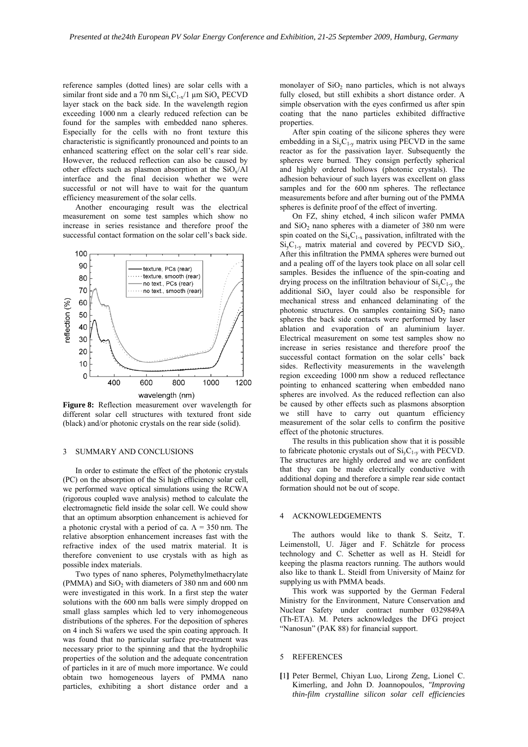reference samples (dotted lines) are solar cells with a similar front side and a 70 nm  $Si<sub>x</sub>C<sub>1-x</sub>/1$  um  $Si<sub>x</sub>C<sub>x</sub>$  PECVD layer stack on the back side. In the wavelength region exceeding 1000 nm a clearly reduced refection can be found for the samples with embedded nano spheres. Especially for the cells with no front texture this characteristic is significantly pronounced and points to an enhanced scattering effect on the solar cell's rear side. However, the reduced reflection can also be caused by other effects such as plasmon absorption at the  $SiO_x/A1$ interface and the final decision whether we were successful or not will have to wait for the quantum efficiency measurement of the solar cells.

Another encouraging result was the electrical measurement on some test samples which show no increase in series resistance and therefore proof the successful contact formation on the solar cell's back side.



**Figure 8:** Reflection measurement over wavelength for different solar cell structures with textured front side (black) and/or photonic crystals on the rear side (solid).

## 3 SUMMARY AND CONCLUSIONS

In order to estimate the effect of the photonic crystals (PC) on the absorption of the Si high efficiency solar cell, we performed wave optical simulations using the RCWA (rigorous coupled wave analysis) method to calculate the electromagnetic field inside the solar cell. We could show that an optimum absorption enhancement is achieved for a photonic crystal with a period of ca.  $\Lambda = 350$  nm. The relative absorption enhancement increases fast with the refractive index of the used matrix material. It is therefore convenient to use crystals with as high as possible index materials.

Two types of nano spheres, Polymethylmethacrylate (PMMA) and  $SiO<sub>2</sub>$  with diameters of 380 nm and 600 nm were investigated in this work. In a first step the water solutions with the 600 nm balls were simply dropped on small glass samples which led to very inhomogeneous distributions of the spheres. For the deposition of spheres on 4 inch Si wafers we used the spin coating approach. It was found that no particular surface pre-treatment was necessary prior to the spinning and that the hydrophilic properties of the solution and the adequate concentration of particles in it are of much more importance. We could obtain two homogeneous layers of PMMA nano particles, exhibiting a short distance order and a

monolayer of  $SiO<sub>2</sub>$  nano particles, which is not always fully closed, but still exhibits a short distance order. A simple observation with the eyes confirmed us after spin coating that the nano particles exhibited diffractive properties.

After spin coating of the silicone spheres they were embedding in a  $Si<sub>v</sub>C<sub>1-v</sub>$  matrix using PECVD in the same reactor as for the passivation layer. Subsequently the spheres were burned. They consign perfectly spherical and highly ordered hollows (photonic crystals). The adhesion behaviour of such layers was excellent on glass samples and for the 600 nm spheres. The reflectance measurements before and after burning out of the PMMA spheres is definite proof of the effect of inverting.

On FZ, shiny etched, 4 inch silicon wafer PMMA and  $SiO<sub>2</sub>$  nano spheres with a diameter of 380 nm were spin coated on the  $Si_xC_{1-x}$  passivation, infiltrated with the  $Si_yC_{1-y}$  matrix material and covered by PECVD  $SiO_x$ . After this infiltration the PMMA spheres were burned out and a pealing off of the layers took place on all solar cell samples. Besides the influence of the spin-coating and drying process on the infiltration behaviour of  $Si<sub>v</sub>C<sub>1-v</sub>$  the additional  $SiO_x$  layer could also be responsible for mechanical stress and enhanced delaminating of the photonic structures. On samples containing  $SiO<sub>2</sub>$  nano spheres the back side contacts were performed by laser ablation and evaporation of an aluminium layer. Electrical measurement on some test samples show no increase in series resistance and therefore proof the successful contact formation on the solar cells' back sides. Reflectivity measurements in the wavelength region exceeding 1000 nm show a reduced reflectance pointing to enhanced scattering when embedded nano spheres are involved. As the reduced reflection can also be caused by other effects such as plasmons absorption we still have to carry out quantum efficiency measurement of the solar cells to confirm the positive effect of the photonic structures.

The results in this publication show that it is possible to fabricate photonic crystals out of  $Si<sub>v</sub>C<sub>1-v</sub>$  with PECVD. The structures are highly ordered and we are confident that they can be made electrically conductive with additional doping and therefore a simple rear side contact formation should not be out of scope.

### **ACKNOWLEDGEMENTS**

The authors would like to thank S. Seitz, T. Leimenstoll, U. Jäger and F. Schätzle for process technology and C. Schetter as well as H. Steidl for keeping the plasma reactors running. The authors would also like to thank L. Steidl from University of Mainz for supplying us with PMMA beads.

This work was supported by the German Federal Ministry for the Environment, Nature Conservation and Nuclear Safety under contract number 0329849A (Th-ETA). M. Peters acknowledges the DFG project "Nanosun" (PAK 88) for financial support.

# 5 REFERENCES

**[**1**]** Peter Bermel, Chiyan Luo, Lirong Zeng, Lionel C. Kimerling, and John D. Joannopoulos, *"Improving thin-film crystalline silicon solar cell efficiencies*